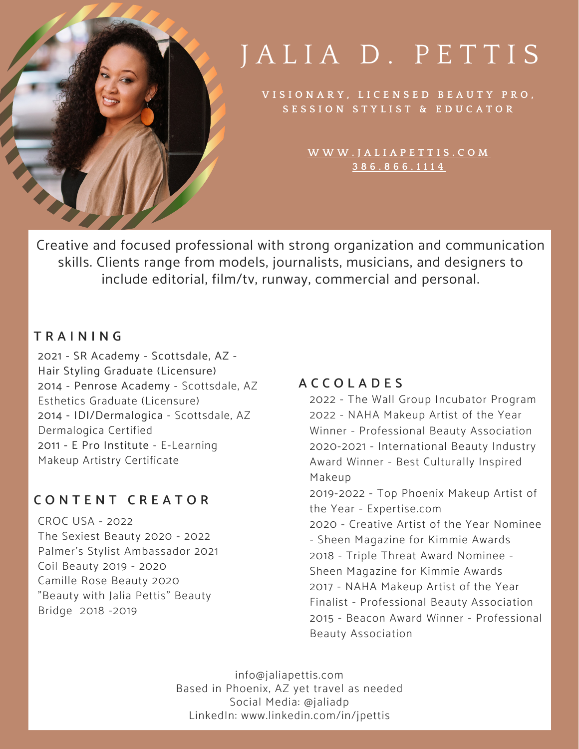

# JALIA D. PETTIS

VISIONARY, LICENSED BEAUTY PRO, **S E S S I O N S T Y L I S T & E D U C A T O R**

> **W [W](http://www.jaliapettis.com/) W . J A L I A P E T T I S . C O M 3 8 6 . 8 6 6 . 1 1 1 4**

Creative and focused professional with strong organization and communication skills. Clients range from models, journalists, musicians, and designers to include editorial, film/tv, runway, commercial and personal.

### **T R A I N I N G**

2021 - SR Academy - Scottsdale, AZ - Hair Styling Graduate (Licensure) 2014 - Penrose Academy - Scottsdale, AZ Esthetics Graduate (Licensure) 2014 - IDI/Dermalogica - Scottsdale, AZ Dermalogica Certified 2011 - E Pro Institute - E-Learning Makeup Artistry Certificate

# **C O N T E N T C R E A T O R**

CROC USA - 2022 The Sexiest Beauty 2020 - 2022 Palmer's Stylist Ambassador 2021 Coil Beauty 2019 - 2020 Camille Rose Beauty 2020 "Beauty with Jalia Pettis" Beauty Bridge 2018 -2019

### **A C C O L A D E S**

2022 - The Wall Group Incubator Program 2022 - NAHA Makeup Artist of the Year Winner - Professional Beauty Association 2020-2021 - International Beauty Industry Award Winner - Best Culturally Inspired Makeup 2019-2022 - Top Phoenix Makeup Artist of the Year - Expertise.com 2020 - Creative Artist of the Year Nominee - Sheen Magazine for Kimmie Awards 2018 - Triple Threat Award Nominee - Sheen Magazine for Kimmie Awards 2017 - NAHA Makeup Artist of the Year Finalist - Professional Beauty Association 2015 - Beacon Award Winner - Professional Beauty Association

info@jaliapettis.com Based in Phoenix, AZ yet travel as needed Social Media: @jaliadp LinkedIn: www.linkedin.com/in/jpettis